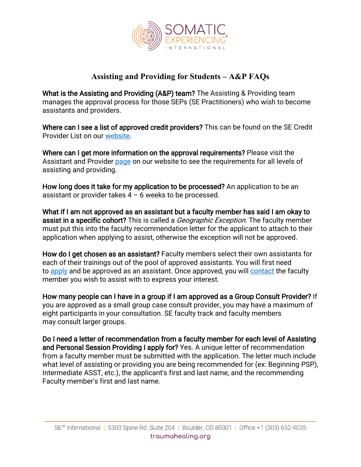

## **Assisting and Providing for Students – A&P FAQs**

What is the Assisting and Providing (A&P) team? The Assisting & Providing team manages the approval process for those SEPs (SE Practitioners) who wish to become assistants and providers.

Where can I see a list of approved credit providers? This can be found on the SE Credit Provider List on our [website.](https://traumahealing.org/credit-providers/)

Where can I get more information on the approval requirements? Please visit the Assistant and Provider [page](https://traumahealing.org/assistant-and-provider-programs/) on our website to see the requirements for all levels of assisting and providing.

How long does it take for my application to be processed? An application to be an assistant or provider takes  $4 - 6$  weeks to be processed.

What if I am not approved as an assistant but a faculty member has said I am okay to assist in a specific cohort? This is called a *Geographic Exception*. The faculty member must put this into the faculty recommendation letter for the applicant to attach to their application when applying to assist, otherwise the exception will not be approved.

How do I get chosen as an assistant? Faculty members select their own assistants for each of their trainings out of the pool of approved assistants. You will first need to [apply](https://www.cvent.com/surveys/Questions/IDConfirm.aspx?s=a4b88432-1721-4be2-aa42-3619e874e48e) [a](https://www.cvent.com/surveys/Questions/IDConfirm.aspx?s=a4b88432-1721-4be2-aa42-3619e874e48e)nd be approved as an assistant. Once approved, you will [contact](https://traumahealing.org/faculty/) the faculty member you wish to assist with to express your interest.

How many people can I have in a group if I am approved as a Group Consult Provider? If you are approved as a small group case consult provider, you may have a maximum of eight participants in your consultation. SE faculty track and faculty members may consult larger groups.

Do I need a letter of recommendation from a faculty member for each level of Assisting and Personal Session Providing I apply for? Yes. A unique letter of recommendation from a faculty member must be submitted with the application. The letter much include what level of assisting or providing you are being recommended for (ex: Beginning PSP), Intermediate ASST, etc.), the applicant's first and last name, and the recommending Faculty member's first and last name.